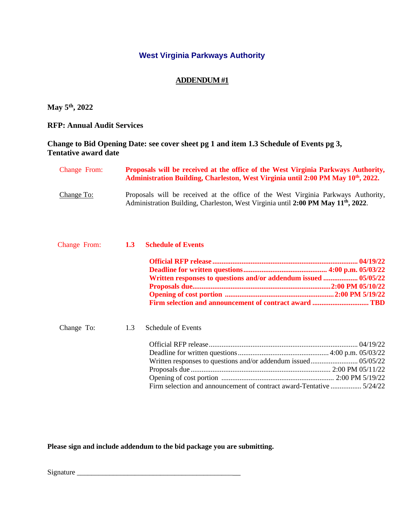## **West Virginia Parkways Authority**

### **ADDENDUM #1**

**May 5th, 2022**

**RFP: Annual Audit Services**

### **Change to Bid Opening Date: see cover sheet pg 1 and item 1.3 Schedule of Events pg 3, Tentative award date**

| <b>Change From:</b> | Proposals will be received at the office of the West Virginia Parkways Authority,<br>Administration Building, Charleston, West Virginia until 2:00 PM May 10 <sup>th</sup> , 2022. |
|---------------------|------------------------------------------------------------------------------------------------------------------------------------------------------------------------------------|
| Change To:          | Proposals will be received at the office of the West Virginia Parkways Authority,<br>Administration Building, Charleston, West Virginia until 2:00 PM May 11 <sup>th</sup> , 2022. |

|            |     | Change From: 1.3 Schedule of Events                                  |
|------------|-----|----------------------------------------------------------------------|
|            |     |                                                                      |
|            |     |                                                                      |
|            |     | Written responses to questions and/or addendum issued  05/05/22      |
|            |     |                                                                      |
|            |     |                                                                      |
|            |     |                                                                      |
| Change To: | 1.3 | Schedule of Events                                                   |
|            |     |                                                                      |
|            |     |                                                                      |
|            |     | Written responses to questions and/or addendum issued 05/05/22       |
|            |     |                                                                      |
|            |     |                                                                      |
|            |     | Firm selection and announcement of contract award-Tentative  5/24/22 |

**Please sign and include addendum to the bid package you are submitting.**

Signature \_\_\_\_\_\_\_\_\_\_\_\_\_\_\_\_\_\_\_\_\_\_\_\_\_\_\_\_\_\_\_\_\_\_\_\_\_\_\_\_\_\_\_\_\_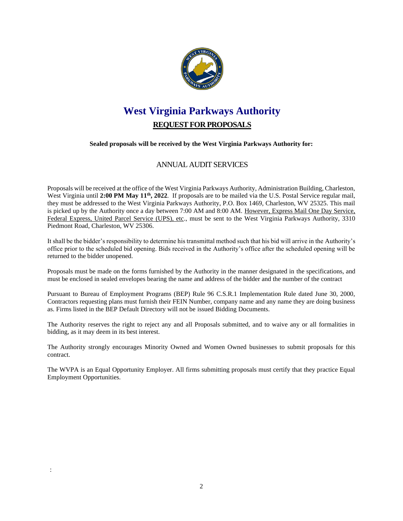

# **West Virginia Parkways Authority REQUEST FOR PROPOSALS**

#### **Sealed proposals will be received by the West Virginia Parkways Authority for:**

## ANNUAL AUDIT SERVICES

Proposals will be received at the office of the West Virginia Parkways Authority, Administration Building, Charleston, West Virginia until 2:00 PM May 11<sup>th</sup>, 2022. If proposals are to be mailed via the U.S. Postal Service regular mail, they must be addressed to the West Virginia Parkways Authority, P.O. Box 1469, Charleston, WV 25325. This mail is picked up by the Authority once a day between 7:00 AM and 8:00 AM. However, Express Mail One Day Service, Federal Express, United Parcel Service (UPS), etc., must be sent to the West Virginia Parkways Authority, 3310 Piedmont Road, Charleston, WV 25306.

It shall be the bidder's responsibility to determine his transmittal method such that his bid will arrive in the Authority's office prior to the scheduled bid opening. Bids received in the Authority's office after the scheduled opening will be returned to the bidder unopened.

Proposals must be made on the forms furnished by the Authority in the manner designated in the specifications, and must be enclosed in sealed envelopes bearing the name and address of the bidder and the number of the contract

Pursuant to Bureau of Employment Programs (BEP) Rule 96 C.S.R.1 Implementation Rule dated June 30, 2000, Contractors requesting plans must furnish their FEIN Number, company name and any name they are doing business as. Firms listed in the BEP Default Directory will not be issued Bidding Documents.

The Authority reserves the right to reject any and all Proposals submitted, and to waive any or all formalities in bidding, as it may deem in its best interest.

The Authority strongly encourages Minority Owned and Women Owned businesses to submit proposals for this contract.

The WVPA is an Equal Opportunity Employer. All firms submitting proposals must certify that they practice Equal Employment Opportunities.

: Construction of the construction of the construction of the construction of the construction of the construction of the construction of the construction of the construction of the construction of the construction of the